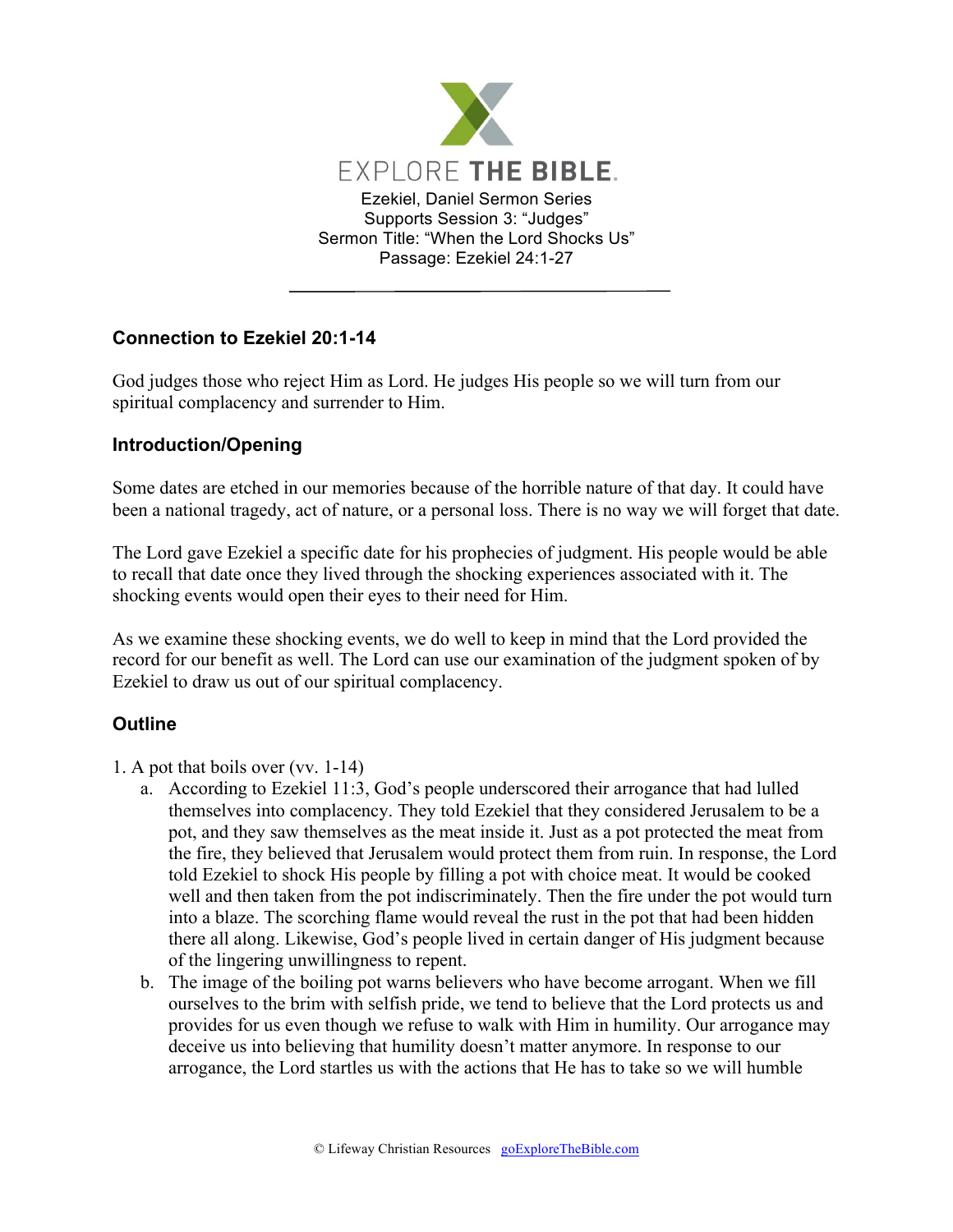

## **Connection to Ezekiel 20:1-14**

God judges those who reject Him as Lord. He judges His people so we will turn from our spiritual complacency and surrender to Him.

## **Introduction/Opening**

Some dates are etched in our memories because of the horrible nature of that day. It could have been a national tragedy, act of nature, or a personal loss. There is no way we will forget that date.

The Lord gave Ezekiel a specific date for his prophecies of judgment. His people would be able to recall that date once they lived through the shocking experiences associated with it. The shocking events would open their eyes to their need for Him.

As we examine these shocking events, we do well to keep in mind that the Lord provided the record for our benefit as well. The Lord can use our examination of the judgment spoken of by Ezekiel to draw us out of our spiritual complacency.

## **Outline**

- 1. A pot that boils over (vv. 1-14)
	- a. According to Ezekiel 11:3, God's people underscored their arrogance that had lulled themselves into complacency. They told Ezekiel that they considered Jerusalem to be a pot, and they saw themselves as the meat inside it. Just as a pot protected the meat from the fire, they believed that Jerusalem would protect them from ruin. In response, the Lord told Ezekiel to shock His people by filling a pot with choice meat. It would be cooked well and then taken from the pot indiscriminately. Then the fire under the pot would turn into a blaze. The scorching flame would reveal the rust in the pot that had been hidden there all along. Likewise, God's people lived in certain danger of His judgment because of the lingering unwillingness to repent.
	- b. The image of the boiling pot warns believers who have become arrogant. When we fill ourselves to the brim with selfish pride, we tend to believe that the Lord protects us and provides for us even though we refuse to walk with Him in humility. Our arrogance may deceive us into believing that humility doesn't matter anymore. In response to our arrogance, the Lord startles us with the actions that He has to take so we will humble